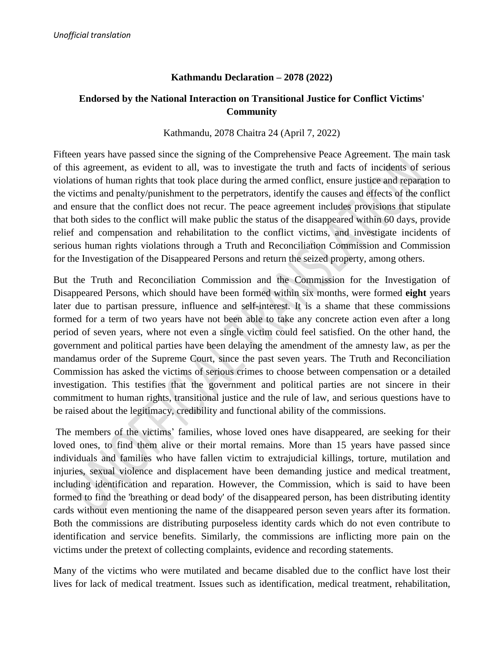### **Kathmandu Declaration – 2078 (2022)**

## **Endorsed by the National Interaction on Transitional Justice for Conflict Victims' Community**

#### Kathmandu, 2078 Chaitra 24 (April 7, 2022)

Fifteen years have passed since the signing of the Comprehensive Peace Agreement. The main task of this agreement, as evident to all, was to investigate the truth and facts of incidents of serious violations of human rights that took place during the armed conflict, ensure justice and reparation to the victims and penalty/punishment to the perpetrators, identify the causes and effects of the conflict and ensure that the conflict does not recur. The peace agreement includes provisions that stipulate that both sides to the conflict will make public the status of the disappeared within 60 days, provide relief and compensation and rehabilitation to the conflict victims, and investigate incidents of serious human rights violations through a Truth and Reconciliation Commission and Commission for the Investigation of the Disappeared Persons and return the seized property, among others.

But the Truth and Reconciliation Commission and the Commission for the Investigation of Disappeared Persons, which should have been formed within six months, were formed **eight** years later due to partisan pressure, influence and self-interest. It is a shame that these commissions formed for a term of two years have not been able to take any concrete action even after a long period of seven years, where not even a single victim could feel satisfied. On the other hand, the government and political parties have been delaying the amendment of the amnesty law, as per the mandamus order of the Supreme Court, since the past seven years. The Truth and Reconciliation Commission has asked the victims of serious crimes to choose between compensation or a detailed investigation. This testifies that the government and political parties are not sincere in their commitment to human rights, transitional justice and the rule of law, and serious questions have to be raised about the legitimacy, credibility and functional ability of the commissions.

The members of the victims' families, whose loved ones have disappeared, are seeking for their loved ones, to find them alive or their mortal remains. More than 15 years have passed since individuals and families who have fallen victim to extrajudicial killings, torture, mutilation and injuries, sexual violence and displacement have been demanding justice and medical treatment, including identification and reparation. However, the Commission, which is said to have been formed to find the 'breathing or dead body' of the disappeared person, has been distributing identity cards without even mentioning the name of the disappeared person seven years after its formation. Both the commissions are distributing purposeless identity cards which do not even contribute to identification and service benefits. Similarly, the commissions are inflicting more pain on the victims under the pretext of collecting complaints, evidence and recording statements.

Many of the victims who were mutilated and became disabled due to the conflict have lost their lives for lack of medical treatment. Issues such as identification, medical treatment, rehabilitation,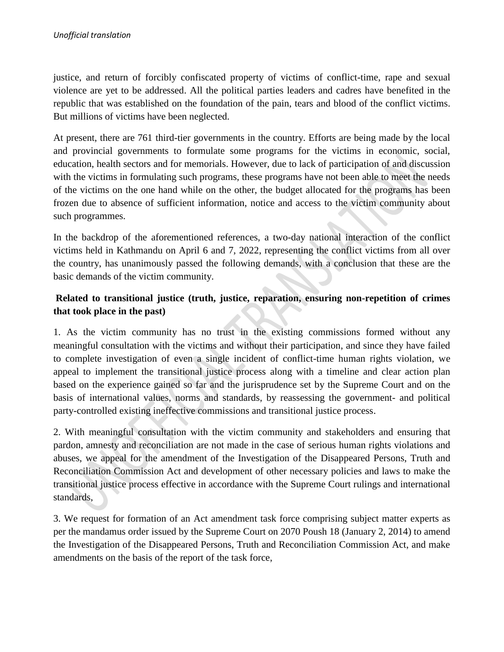justice, and return of forcibly confiscated property of victims of conflict-time, rape and sexual violence are yet to be addressed. All the political parties leaders and cadres have benefited in the republic that was established on the foundation of the pain, tears and blood of the conflict victims. But millions of victims have been neglected.

At present, there are 761 third-tier governments in the country. Efforts are being made by the local and provincial governments to formulate some programs for the victims in economic, social, education, health sectors and for memorials. However, due to lack of participation of and discussion with the victims in formulating such programs, these programs have not been able to meet the needs of the victims on the one hand while on the other, the budget allocated for the programs has been frozen due to absence of sufficient information, notice and access to the victim community about such programmes.

In the backdrop of the aforementioned references, a two-day national interaction of the conflict victims held in Kathmandu on April 6 and 7, 2022, representing the conflict victims from all over the country, has unanimously passed the following demands, with a conclusion that these are the basic demands of the victim community.

# **Related to transitional justice (truth, justice, reparation, ensuring non-repetition of crimes that took place in the past)**

1. As the victim community has no trust in the existing commissions formed without any meaningful consultation with the victims and without their participation, and since they have failed to complete investigation of even a single incident of conflict-time human rights violation, we appeal to implement the transitional justice process along with a timeline and clear action plan based on the experience gained so far and the jurisprudence set by the Supreme Court and on the basis of international values, norms and standards, by reassessing the government- and political party-controlled existing ineffective commissions and transitional justice process.

2. With meaningful consultation with the victim community and stakeholders and ensuring that pardon, amnesty and reconciliation are not made in the case of serious human rights violations and abuses, we appeal for the amendment of the Investigation of the Disappeared Persons, Truth and Reconciliation Commission Act and development of other necessary policies and laws to make the transitional justice process effective in accordance with the Supreme Court rulings and international standards,

3. We request for formation of an Act amendment task force comprising subject matter experts as per the mandamus order issued by the Supreme Court on 2070 Poush 18 (January 2, 2014) to amend the Investigation of the Disappeared Persons, Truth and Reconciliation Commission Act, and make amendments on the basis of the report of the task force,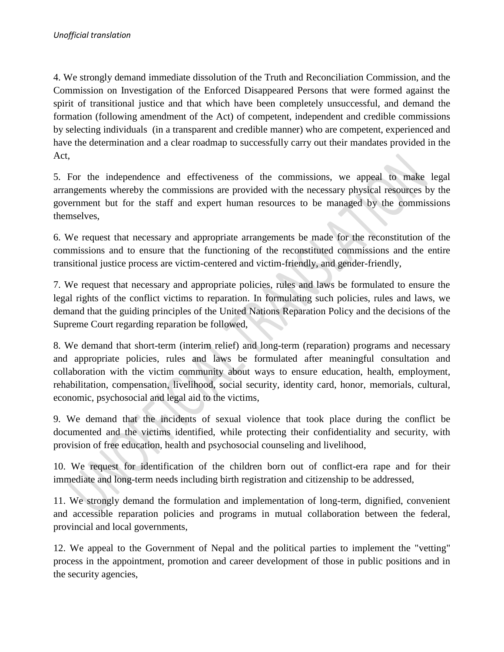4. We strongly demand immediate dissolution of the Truth and Reconciliation Commission, and the Commission on Investigation of the Enforced Disappeared Persons that were formed against the spirit of transitional justice and that which have been completely unsuccessful, and demand the formation (following amendment of the Act) of competent, independent and credible commissions by selecting individuals (in a transparent and credible manner) who are competent, experienced and have the determination and a clear roadmap to successfully carry out their mandates provided in the Act,

5. For the independence and effectiveness of the commissions, we appeal to make legal arrangements whereby the commissions are provided with the necessary physical resources by the government but for the staff and expert human resources to be managed by the commissions themselves,

6. We request that necessary and appropriate arrangements be made for the reconstitution of the commissions and to ensure that the functioning of the reconstituted commissions and the entire transitional justice process are victim-centered and victim-friendly, and gender-friendly,

7. We request that necessary and appropriate policies, rules and laws be formulated to ensure the legal rights of the conflict victims to reparation. In formulating such policies, rules and laws, we demand that the guiding principles of the United Nations Reparation Policy and the decisions of the Supreme Court regarding reparation be followed,

8. We demand that short-term (interim relief) and long-term (reparation) programs and necessary and appropriate policies, rules and laws be formulated after meaningful consultation and collaboration with the victim community about ways to ensure education, health, employment, rehabilitation, compensation, livelihood, social security, identity card, honor, memorials, cultural, economic, psychosocial and legal aid to the victims,

9. We demand that the incidents of sexual violence that took place during the conflict be documented and the victims identified, while protecting their confidentiality and security, with provision of free education, health and psychosocial counseling and livelihood,

10. We request for identification of the children born out of conflict-era rape and for their immediate and long-term needs including birth registration and citizenship to be addressed,

11. We strongly demand the formulation and implementation of long-term, dignified, convenient and accessible reparation policies and programs in mutual collaboration between the federal, provincial and local governments,

12. We appeal to the Government of Nepal and the political parties to implement the "vetting" process in the appointment, promotion and career development of those in public positions and in the security agencies,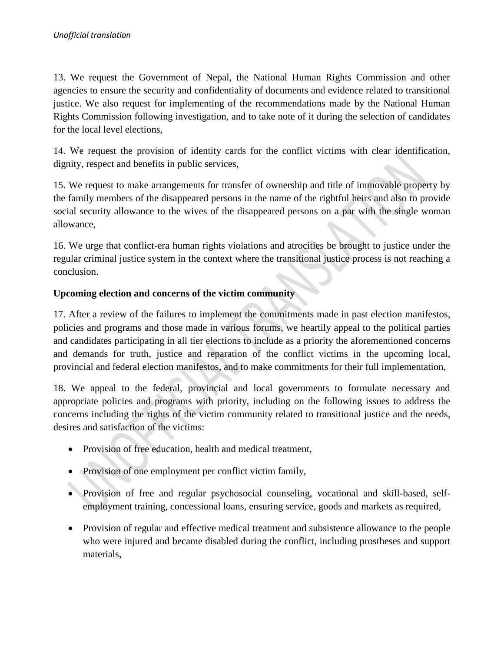13. We request the Government of Nepal, the National Human Rights Commission and other agencies to ensure the security and confidentiality of documents and evidence related to transitional justice. We also request for implementing of the recommendations made by the National Human Rights Commission following investigation, and to take note of it during the selection of candidates for the local level elections,

14. We request the provision of identity cards for the conflict victims with clear identification, dignity, respect and benefits in public services,

15. We request to make arrangements for transfer of ownership and title of immovable property by the family members of the disappeared persons in the name of the rightful heirs and also to provide social security allowance to the wives of the disappeared persons on a par with the single woman allowance,

16. We urge that conflict-era human rights violations and atrocities be brought to justice under the regular criminal justice system in the context where the transitional justice process is not reaching a conclusion.

## **Upcoming election and concerns of the victim community**

17. After a review of the failures to implement the commitments made in past election manifestos, policies and programs and those made in various forums, we heartily appeal to the political parties and candidates participating in all tier elections to include as a priority the aforementioned concerns and demands for truth, justice and reparation of the conflict victims in the upcoming local, provincial and federal election manifestos, and to make commitments for their full implementation,

18. We appeal to the federal, provincial and local governments to formulate necessary and appropriate policies and programs with priority, including on the following issues to address the concerns including the rights of the victim community related to transitional justice and the needs, desires and satisfaction of the victims:

- Provision of free education, health and medical treatment,
- Provision of one employment per conflict victim family,
- Provision of free and regular psychosocial counseling, vocational and skill-based, selfemployment training, concessional loans, ensuring service, goods and markets as required,
- Provision of regular and effective medical treatment and subsistence allowance to the people who were injured and became disabled during the conflict, including prostheses and support materials,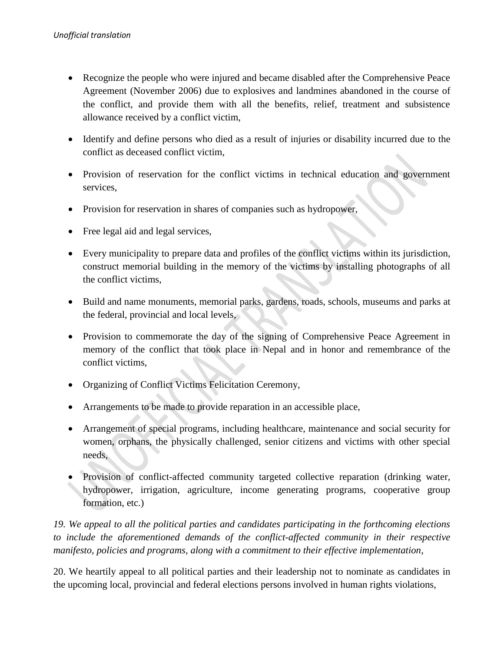- Recognize the people who were injured and became disabled after the Comprehensive Peace Agreement (November 2006) due to explosives and landmines abandoned in the course of the conflict, and provide them with all the benefits, relief, treatment and subsistence allowance received by a conflict victim,
- Identify and define persons who died as a result of injuries or disability incurred due to the conflict as deceased conflict victim,
- Provision of reservation for the conflict victims in technical education and government services,
- Provision for reservation in shares of companies such as hydropower,
- Free legal aid and legal services,
- Every municipality to prepare data and profiles of the conflict victims within its jurisdiction, construct memorial building in the memory of the victims by installing photographs of all the conflict victims,
- Build and name monuments, memorial parks, gardens, roads, schools, museums and parks at the federal, provincial and local levels,
- Provision to commemorate the day of the signing of Comprehensive Peace Agreement in memory of the conflict that took place in Nepal and in honor and remembrance of the conflict victims,
- Organizing of Conflict Victims Felicitation Ceremony,
- Arrangements to be made to provide reparation in an accessible place,
- Arrangement of special programs, including healthcare, maintenance and social security for women, orphans, the physically challenged, senior citizens and victims with other special needs,
- Provision of conflict-affected community targeted collective reparation (drinking water, hydropower, irrigation, agriculture, income generating programs, cooperative group formation, etc.)

*19. We appeal to all the political parties and candidates participating in the forthcoming elections to include the aforementioned demands of the conflict-affected community in their respective manifesto, policies and programs, along with a commitment to their effective implementation,*

20. We heartily appeal to all political parties and their leadership not to nominate as candidates in the upcoming local, provincial and federal elections persons involved in human rights violations,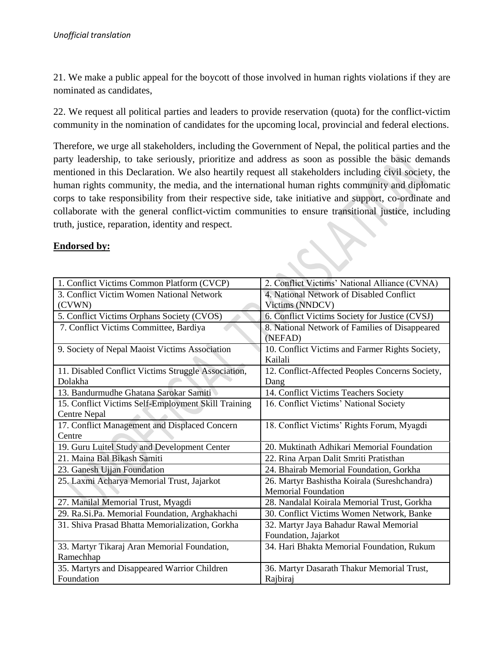21. We make a public appeal for the boycott of those involved in human rights violations if they are nominated as candidates,

22. We request all political parties and leaders to provide reservation (quota) for the conflict-victim community in the nomination of candidates for the upcoming local, provincial and federal elections.

Therefore, we urge all stakeholders, including the Government of Nepal, the political parties and the party leadership, to take seriously, prioritize and address as soon as possible the basic demands mentioned in this Declaration. We also heartily request all stakeholders including civil society, the human rights community, the media, and the international human rights community and diplomatic corps to take responsibility from their respective side, take initiative and support, co-ordinate and collaborate with the general conflict-victim communities to ensure transitional justice, including truth, justice, reparation, identity and respect. **REA** 

## **Endorsed by:**

| <b>Endorsed by:</b>                                 |                                                 |
|-----------------------------------------------------|-------------------------------------------------|
|                                                     |                                                 |
|                                                     |                                                 |
| 1. Conflict Victims Common Platform (CVCP)          | 2. Conflict Victims' National Alliance (CVNA)   |
| 3. Conflict Victim Women National Network           | 4. National Network of Disabled Conflict        |
| (CVWN)                                              | Victims (NNDCV)                                 |
| 5. Conflict Victims Orphans Society (CVOS)          | 6. Conflict Victims Society for Justice (CVSJ)  |
| 7. Conflict Victims Committee, Bardiya              | 8. National Network of Families of Disappeared  |
|                                                     | (NEFAD)                                         |
| 9. Society of Nepal Maoist Victims Association      | 10. Conflict Victims and Farmer Rights Society, |
|                                                     | Kailali                                         |
| 11. Disabled Conflict Victims Struggle Association, | 12. Conflict-Affected Peoples Concerns Society, |
| Dolakha                                             | Dang                                            |
| 13. Bandurmudhe Ghatana Sarokar Samiti              | 14. Conflict Victims Teachers Society           |
| 15. Conflict Victims Self-Employment Skill Training | 16. Conflict Victims' National Society          |
| <b>Centre Nepal</b>                                 |                                                 |
| 17. Conflict Management and Displaced Concern       | 18. Conflict Victims' Rights Forum, Myagdi      |
| Centre                                              |                                                 |
| 19. Guru Luitel Study and Development Center        | 20. Muktinath Adhikari Memorial Foundation      |
| 21. Maina Bal Bikash Samiti                         | 22. Rina Arpan Dalit Smriti Pratisthan          |
| 23. Ganesh Ujjan Foundation                         | 24. Bhairab Memorial Foundation, Gorkha         |
| 25. Laxmi Acharya Memorial Trust, Jajarkot          | 26. Martyr Bashistha Koirala (Sureshchandra)    |
|                                                     | <b>Memorial Foundation</b>                      |
| 27. Manilal Memorial Trust, Myagdi                  | 28. Nandalal Koirala Memorial Trust, Gorkha     |
| 29. Ra.Si.Pa. Memorial Foundation, Arghakhachi      | 30. Conflict Victims Women Network, Banke       |
| 31. Shiva Prasad Bhatta Memorialization, Gorkha     | 32. Martyr Jaya Bahadur Rawal Memorial          |
|                                                     | Foundation, Jajarkot                            |
| 33. Martyr Tikaraj Aran Memorial Foundation,        | 34. Hari Bhakta Memorial Foundation, Rukum      |
| Ramechhap                                           |                                                 |
| 35. Martyrs and Disappeared Warrior Children        | 36. Martyr Dasarath Thakur Memorial Trust,      |
| Foundation                                          | Rajbiraj                                        |